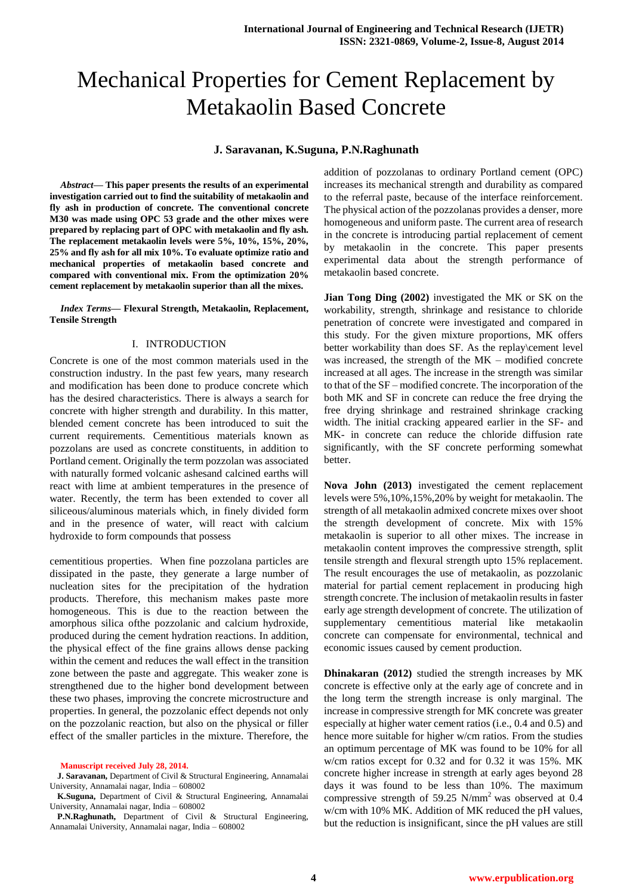# Mechanical Properties for Cement Replacement by Metakaolin Based Concrete

#### **J. Saravanan, K.Suguna, P.N.Raghunath**

*Abstract***— This paper presents the results of an experimental investigation carried out to find the suitability of metakaolin and fly ash in production of concrete. The conventional concrete M30 was made using OPC 53 grade and the other mixes were prepared by replacing part of OPC with metakaolin and fly ash. The replacement metakaolin levels were 5%, 10%, 15%, 20%, 25% and fly ash for all mix 10%. To evaluate optimize ratio and mechanical properties of metakaolin based concrete and compared with conventional mix. From the optimization 20% cement replacement by metakaolin superior than all the mixes.**

#### *Index Terms***— Flexural Strength, Metakaolin, Replacement, Tensile Strength**

#### I. INTRODUCTION

Concrete is one of the most common materials used in the construction industry. In the past few years, many research and modification has been done to produce concrete which has the desired characteristics. There is always a search for concrete with higher strength and durability. In this matter, blended cement concrete has been introduced to suit the current requirements. Cementitious materials known as pozzolans are used as concrete constituents, in addition to Portland cement. Originally the term pozzolan was associated with naturally formed volcanic ashesand calcined earths will react with lime at ambient temperatures in the presence of water. Recently, the term has been extended to cover all siliceous/aluminous materials which, in finely divided form and in the presence of water, will react with calcium hydroxide to form compounds that possess

cementitious properties. When fine pozzolana particles are dissipated in the paste, they generate a large number of nucleation sites for the precipitation of the hydration products. Therefore, this mechanism makes paste more homogeneous. This is due to the reaction between the amorphous silica ofthe pozzolanic and calcium hydroxide, produced during the cement hydration reactions. In addition, the physical effect of the fine grains allows dense packing within the cement and reduces the wall effect in the transition zone between the paste and aggregate. This weaker zone is strengthened due to the higher bond development between these two phases, improving the concrete microstructure and properties. In general, the pozzolanic effect depends not only on the pozzolanic reaction, but also on the physical or filler effect of the smaller particles in the mixture. Therefore, the

addition of pozzolanas to ordinary Portland cement (OPC) increases its mechanical strength and durability as compared to the referral paste, because of the interface reinforcement. The physical action of the pozzolanas provides a denser, more homogeneous and uniform paste. The current area of research in the concrete is introducing partial replacement of cement by metakaolin in the concrete. This paper presents experimental data about the strength performance of metakaolin based concrete.

**Jian Tong Ding (2002)** investigated the MK or SK on the workability, strength, shrinkage and resistance to chloride penetration of concrete were investigated and compared in this study. For the given mixture proportions, MK offers better workability than does SF. As the replay\cement level was increased, the strength of the MK – modified concrete increased at all ages. The increase in the strength was similar to that of the SF – modified concrete. The incorporation of the both MK and SF in concrete can reduce the free drying the free drying shrinkage and restrained shrinkage cracking width. The initial cracking appeared earlier in the SF- and MK- in concrete can reduce the chloride diffusion rate significantly, with the SF concrete performing somewhat better.

**Nova John (2013)** investigated the cement replacement levels were 5%,10%,15%,20% by weight for metakaolin. The strength of all metakaolin admixed concrete mixes over shoot the strength development of concrete. Mix with 15% metakaolin is superior to all other mixes. The increase in metakaolin content improves the compressive strength, split tensile strength and flexural strength upto 15% replacement. The result encourages the use of metakaolin, as pozzolanic material for partial cement replacement in producing high strength concrete. The inclusion of metakaolin results in faster early age strength development of concrete. The utilization of supplementary cementitious material like metakaolin concrete can compensate for environmental, technical and economic issues caused by cement production.

**Dhinakaran (2012)** studied the strength increases by MK concrete is effective only at the early age of concrete and in the long term the strength increase is only marginal. The increase in compressive strength for MK concrete was greater especially at higher water cement ratios (i.e., 0.4 and 0.5) and hence more suitable for higher w/cm ratios. From the studies an optimum percentage of MK was found to be 10% for all w/cm ratios except for 0.32 and for 0.32 it was 15%. MK concrete higher increase in strength at early ages beyond 28 days it was found to be less than 10%. The maximum compressive strength of 59.25 N/mm<sup>2</sup> was observed at 0.4 w/cm with 10% MK. Addition of MK reduced the pH values, but the reduction is insignificant, since the pH values are still

**Manuscript received July 28, 2014.**

**J. Saravanan,** Department of Civil & Structural Engineering, Annamalai University, Annamalai nagar, India – 608002

**K.Suguna,** Department of Civil & Structural Engineering, Annamalai University, Annamalai nagar, India – 608002

**P.N.Raghunath,** Department of Civil & Structural Engineering, Annamalai University, Annamalai nagar, India – 608002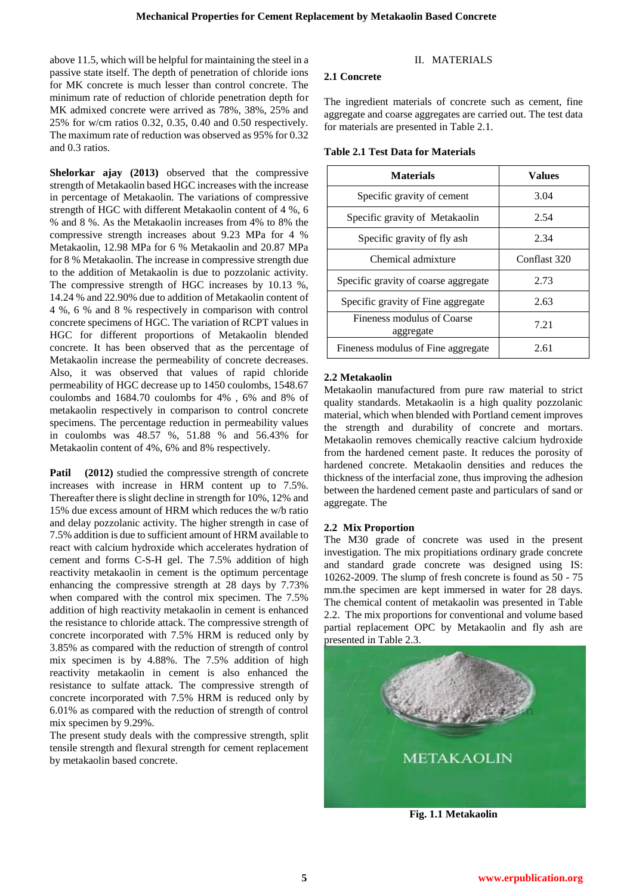above 11.5, which will be helpful for maintaining the steel in a passive state itself. The depth of penetration of chloride ions for MK concrete is much lesser than control concrete. The minimum rate of reduction of chloride penetration depth for MK admixed concrete were arrived as 78%, 38%, 25% and 25% for w/cm ratios 0.32, 0.35, 0.40 and 0.50 respectively. The maximum rate of reduction was observed as 95% for 0.32 and 0.3 ratios.

**Shelorkar ajay (2013)** observed that the compressive strength of Metakaolin based HGC increases with the increase in percentage of Metakaolin. The variations of compressive strength of HGC with different Metakaolin content of 4 %, 6 % and 8 %. As the Metakaolin increases from 4% to 8% the compressive strength increases about 9.23 MPa for 4 % Metakaolin, 12.98 MPa for 6 % Metakaolin and 20.87 MPa for 8 % Metakaolin. The increase in compressive strength due to the addition of Metakaolin is due to pozzolanic activity. The compressive strength of HGC increases by 10.13 %, 14.24 % and 22.90% due to addition of Metakaolin content of 4 %, 6 % and 8 % respectively in comparison with control concrete specimens of HGC. The variation of RCPT values in HGC for different proportions of Metakaolin blended concrete. It has been observed that as the percentage of Metakaolin increase the permeability of concrete decreases. Also, it was observed that values of rapid chloride permeability of HGC decrease up to 1450 coulombs, 1548.67 coulombs and 1684.70 coulombs for 4% , 6% and 8% of metakaolin respectively in comparison to control concrete specimens. The percentage reduction in permeability values in coulombs was 48.57 %, 51.88 % and 56.43% for Metakaolin content of 4%, 6% and 8% respectively.

Patil (2012) studied the compressive strength of concrete increases with increase in HRM content up to 7.5%. Thereafter there is slight decline in strength for 10%, 12% and 15% due excess amount of HRM which reduces the w/b ratio and delay pozzolanic activity. The higher strength in case of 7.5% addition is due to sufficient amount of HRM available to react with calcium hydroxide which accelerates hydration of cement and forms C-S-H gel. The 7.5% addition of high reactivity metakaolin in cement is the optimum percentage enhancing the compressive strength at 28 days by 7.73% when compared with the control mix specimen. The 7.5% addition of high reactivity metakaolin in cement is enhanced the resistance to chloride attack. The compressive strength of concrete incorporated with 7.5% HRM is reduced only by 3.85% as compared with the reduction of strength of control mix specimen is by 4.88%. The 7.5% addition of high reactivity metakaolin in cement is also enhanced the resistance to sulfate attack. The compressive strength of concrete incorporated with 7.5% HRM is reduced only by 6.01% as compared with the reduction of strength of control mix specimen by 9.29%.

The present study deals with the compressive strength, split tensile strength and flexural strength for cement replacement by metakaolin based concrete.

# II. MATERIALS

#### **2.1 Concrete**

The ingredient materials of concrete such as cement, fine aggregate and coarse aggregates are carried out. The test data for materials are presented in Table 2.1.

#### **Table 2.1 Test Data for Materials**

| <b>Materials</b>                        | <b>Values</b> |
|-----------------------------------------|---------------|
| Specific gravity of cement              | 3.04          |
| Specific gravity of Metakaolin          | 2.54          |
| Specific gravity of fly ash             | 2.34          |
| Chemical admixture                      | Conflast 320  |
| Specific gravity of coarse aggregate    | 2.73          |
| Specific gravity of Fine aggregate      | 2.63          |
| Fineness modulus of Coarse<br>aggregate | 7.21          |
| Fineness modulus of Fine aggregate      | 2.61          |

## **2.2 Metakaolin**

Metakaolin manufactured from pure raw material to strict quality standards. Metakaolin is a high quality pozzolanic material, which when blended with Portland cement improves the strength and durability of concrete and mortars. Metakaolin removes chemically reactive calcium hydroxide from the hardened cement paste. It reduces the porosity of hardened concrete. Metakaolin densities and reduces the thickness of the interfacial zone, thus improving the adhesion between the hardened cement paste and particulars of sand or aggregate. The

## **2.2 Mix Proportion**

The M30 grade of concrete was used in the present investigation. The mix propitiations ordinary grade concrete and standard grade concrete was designed using IS: 10262-2009. The slump of fresh concrete is found as 50 - 75 mm.the specimen are kept immersed in water for 28 days. The chemical content of metakaolin was presented in Table 2.2. The mix proportions for conventional and volume based partial replacement OPC by Metakaolin and fly ash are presented in Table 2.3.



**Fig. 1.1 Metakaolin**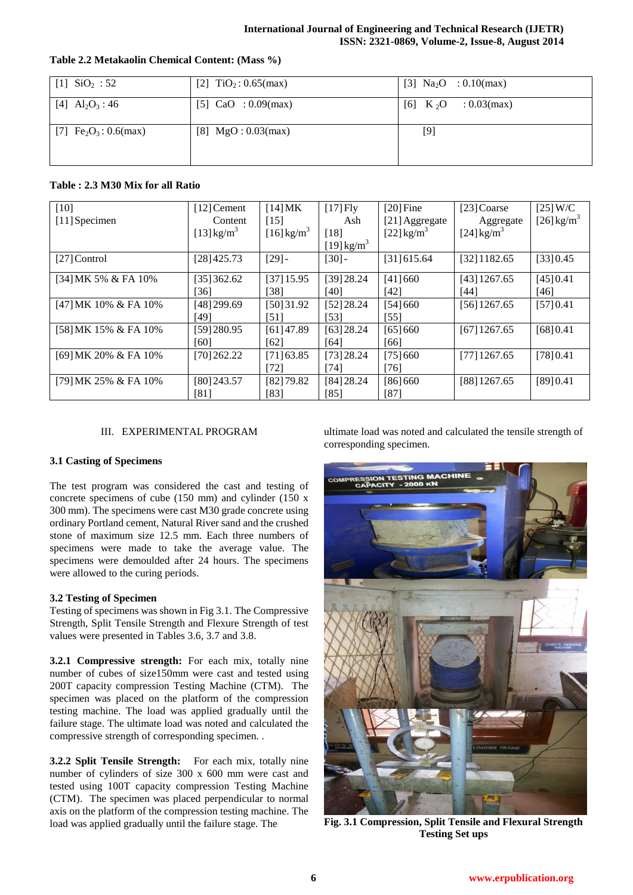#### **International Journal of Engineering and Technical Research (IJETR) ISSN: 2321-0869, Volume-2, Issue-8, August 2014**

| [1] $SiO2: 52$                         | [2] $TiO_2: 0.65$ (max) | [3] $Na2O$ : 0.10(max)                   |
|----------------------------------------|-------------------------|------------------------------------------|
| [4] $\text{Al}_2\text{O}_3$ : 46       | [5] $CaO : 0.09$ (max)  | $[6]$ K <sub>2</sub> O<br>$: 0.03$ (max) |
| [7] $\text{Fe}_2\text{O}_3$ : 0.6(max) | [8] $MgO: 0.03(max)$    | $[9]$                                    |

# **Table 2.2 Metakaolin Chemical Content: (Mass %)**

# **Table : 2.3 M30 Mix for all Ratio**

| $[10]$               | $[12]$ Cement            | $[14]$ MK                | $[17]$ Fly               | $[20]$ Fine              | [23] Coarse          | $[25]$ W/C               |
|----------------------|--------------------------|--------------------------|--------------------------|--------------------------|----------------------|--------------------------|
| [11] Specimen        | Content                  | [15]                     | Ash                      | [21] Aggregate           | Aggregate            | $[26]$ kg/m <sup>3</sup> |
|                      | $[13]$ kg/m <sup>3</sup> | $[16]$ kg/m <sup>3</sup> | $[18]$                   | $[22]$ kg/m <sup>3</sup> | [24] $\text{kg/m}^3$ |                          |
|                      |                          |                          | $[19]$ kg/m <sup>3</sup> |                          |                      |                          |
| $[27]$ Control       | [28]425.73               | $[29]$ -                 | $[30]$ -                 | [31] 615.64              | $[32]$ 1182.65       | [33]0.45                 |
|                      |                          |                          |                          |                          |                      |                          |
| [34] MK 5% & FA 10%  | [35]362.62               | $[37]$ 15.95             | [39]28.24                | [41] 660                 | $[43]$ 1267.65       | [45] 0.41                |
|                      | [36]                     | [38]                     | [40]                     | [42]                     | [44]                 | [46]                     |
| [47] MK 10% & FA 10% | [48] 299.69              | [50]31.92                | [52]28.24                | [54] 660                 | $[56]$ 1267.65       | [57]0.41                 |
|                      | [49]                     | [51]                     | $[53]$                   | $[55]$                   |                      |                          |
| [58] MK 15% & FA 10% | [59]280.95               | $[61]$ 47.89             | $[63]$ 28.24             | [65] 660                 | $[67]$ 1267.65       | [68]0.41                 |
|                      | [60]                     | [62]                     | [64]                     | [66]                     |                      |                          |
| [69] MK 20% & FA 10% | [70]262.22               | [71] 63.85               | [73]28.24                | [75]660                  | $[77]$ 1267.65       | [78]0.41                 |
|                      |                          | [72]                     | [74]                     | 761                      |                      |                          |
| [79] MK 25% & FA 10% | $[80]$ 243.57            | [82]79.82                | [84]28.24                | [86] 660                 | $[88]$ 1267.65       | [89] 0.41                |
|                      | [81]                     | [83]                     | [85]                     | [87]                     |                      |                          |

## III. EXPERIMENTAL PROGRAM

## **3.1 Casting of Specimens**

The test program was considered the cast and testing of concrete specimens of cube (150 mm) and cylinder (150 x 300 mm). The specimens were cast M30 grade concrete using ordinary Portland cement, Natural River sand and the crushed stone of maximum size 12.5 mm. Each three numbers of specimens were made to take the average value. The specimens were demoulded after 24 hours. The specimens were allowed to the curing periods.

## **3.2 Testing of Specimen**

Testing of specimens was shown in Fig 3.1. The Compressive Strength, Split Tensile Strength and Flexure Strength of test values were presented in Tables 3.6, 3.7 and 3.8.

**3.2.1 Compressive strength:** For each mix, totally nine number of cubes of size150mm were cast and tested using 200T capacity compression Testing Machine (CTM). The specimen was placed on the platform of the compression testing machine. The load was applied gradually until the failure stage. The ultimate load was noted and calculated the compressive strength of corresponding specimen. .

**3.2.2 Split Tensile Strength:** For each mix, totally nine number of cylinders of size 300 x 600 mm were cast and tested using 100T capacity compression Testing Machine (CTM). The specimen was placed perpendicular to normal axis on the platform of the compression testing machine. The load was applied gradually until the failure stage. The

ultimate load was noted and calculated the tensile strength of corresponding specimen.



**Fig. 3.1 Compression, Split Tensile and Flexural Strength Testing Set ups**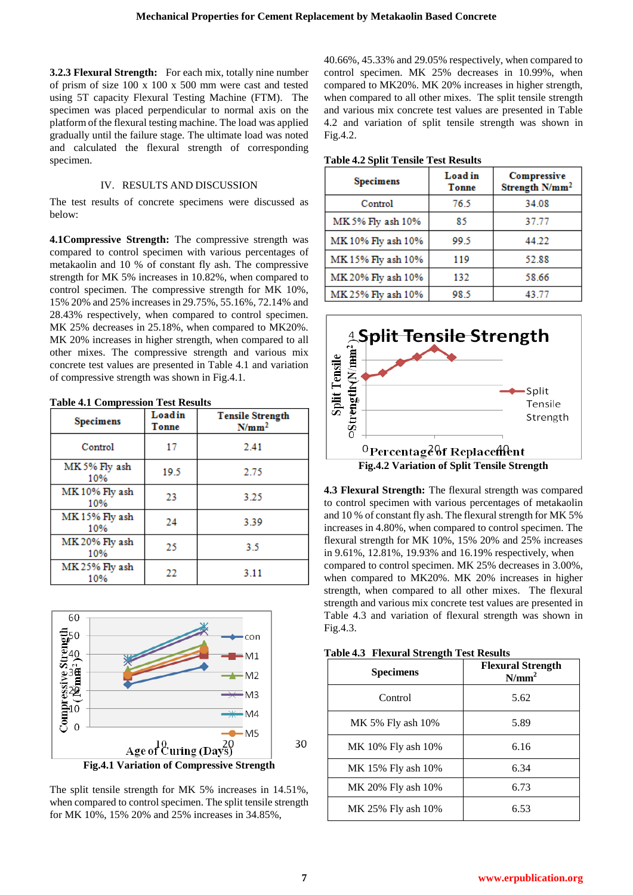**3.2.3 Flexural Strength:** For each mix, totally nine number of prism of size 100 x 100 x 500 mm were cast and tested using 5T capacity Flexural Testing Machine (FTM). The specimen was placed perpendicular to normal axis on the platform of the flexural testing machine. The load was applied gradually until the failure stage. The ultimate load was noted and calculated the flexural strength of corresponding specimen.

## IV. RESULTS AND DISCUSSION

The test results of concrete specimens were discussed as below:

**4.1Compressive Strength:** The compressive strength was compared to control specimen with various percentages of metakaolin and 10 % of constant fly ash. The compressive strength for MK 5% increases in 10.82%, when compared to control specimen. The compressive strength for MK 10%, 15% 20% and 25% increases in 29.75%, 55.16%, 72.14% and 28.43% respectively, when compared to control specimen. MK 25% decreases in 25.18%, when compared to MK20%. MK 20% increases in higher strength, when compared to all other mixes. The compressive strength and various mix concrete test values are presented in Table 4.1 and variation of compressive strength was shown in Fig.4.1.

| <b>Table 4.1 Compression Test Results</b> |                 |                                              |
|-------------------------------------------|-----------------|----------------------------------------------|
| <b>Specimens</b>                          | Loadin<br>Tonne | <b>Tensile Strength</b><br>N/mm <sup>2</sup> |
| Control                                   | 17              | 2.41                                         |
| MK 5% Fly ash<br>10%                      | 19.5            | 2.75                                         |
| MK 10% Fly ash<br>10%                     | 23              | 3.25                                         |
| MK15% Fly ash<br>10%                      | 24              | 3.39                                         |
| MK 20% Fly ash<br>10%                     | 25              | 3.5                                          |
| MK 25% Fly ash<br>10%                     | 22              | 3.11                                         |



The split tensile strength for MK 5% increases in 14.51%, when compared to control specimen. The split tensile strength for MK 10%, 15% 20% and 25% increases in 34.85%,

40.66%, 45.33% and 29.05% respectively, when compared to control specimen. MK 25% decreases in 10.99%, when compared to MK20%. MK 20% increases in higher strength, when compared to all other mixes. The split tensile strength and various mix concrete test values are presented in Table 4.2 and variation of split tensile strength was shown in Fig.4.2.

#### **Table 4.2 Split Tensile Test Results**

| <b>Specimens</b>   | Load in<br>Tonne | Compressive<br>Strength N/mm <sup>2</sup> |
|--------------------|------------------|-------------------------------------------|
| Control            | 76.5             | 34.08                                     |
| MK 5% Fly ash 10%  | 85               | 37.77                                     |
| MK 10% Fly ash 10% | 99.5             | 44.22                                     |
| MK 15% Fly ash 10% | 119              | 52.88                                     |
| MK 20% Fly ash 10% | 132              | 58.66                                     |
| MK 25% Fly ash 10% | 98.5             | 43.77                                     |



**4.3 Flexural Strength:** The flexural strength was compared to control specimen with various percentages of metakaolin and 10 % of constant fly ash. The flexural strength for MK 5% increases in 4.80%, when compared to control specimen. The flexural strength for MK 10%, 15% 20% and 25% increases in 9.61%, 12.81%, 19.93% and 16.19% respectively, when compared to control specimen. MK 25% decreases in 3.00%, when compared to MK20%. MK 20% increases in higher strength, when compared to all other mixes. The flexural strength and various mix concrete test values are presented in Table 4.3 and variation of flexural strength was shown in Fig.4.3.

| <b>Specimens</b>   | <b>Flexural Strength</b><br>N/mm <sup>2</sup> |
|--------------------|-----------------------------------------------|
| Control            | 5.62                                          |
| MK 5% Fly ash 10%  | 5.89                                          |
| MK 10% Fly ash 10% | 6.16                                          |
| MK 15% Fly ash 10% | 6.34                                          |
| MK 20% Fly ash 10% | 6.73                                          |
| MK 25% Fly ash 10% | 6.53                                          |